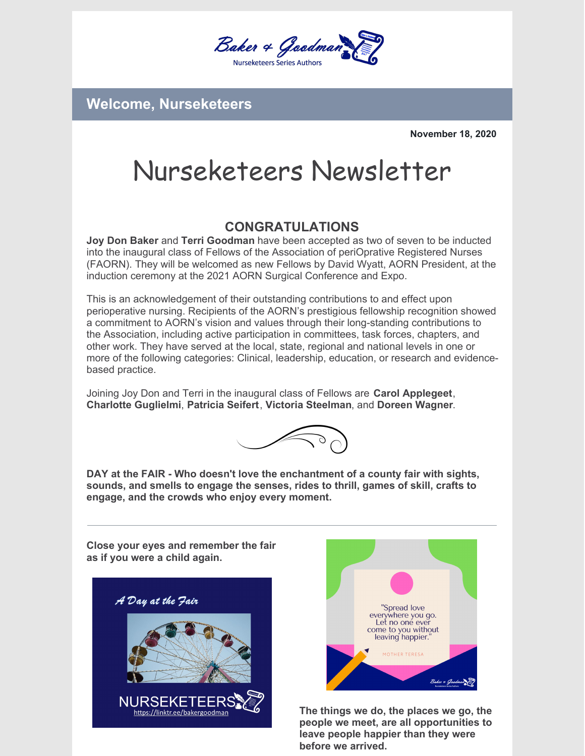

**Welcome, Nurseketeers**

**November 18, 2020**

## Nurseketeers Newsletter

## **CONGRATULATIONS**

**Joy Don Baker** and **Terri Goodman** have been accepted as two of seven to be inducted into the inaugural class of Fellows of the Association of periOprative Registered Nurses (FAORN). They will be welcomed as new Fellows by David Wyatt, AORN President, at the induction ceremony at the 2021 AORN Surgical Conference and Expo.

This is an acknowledgement of their outstanding contributions to and effect upon perioperative nursing. Recipients of the AORN's prestigious fellowship recognition showed a commitment to AORN's vision and values through their long-standing contributions to the Association, including active participation in committees, task forces, chapters, and other work. They have served at the local, state, regional and national levels in one or more of the following categories: Clinical, leadership, education, or research and evidencebased practice.

Joining Joy Don and Terri in the inaugural class of Fellows are **Carol Applegeet**, **Charlotte Guglielmi**, **Patricia Seifert**, **Victoria Steelman**, and **Doreen Wagner**.



**DAY at the FAIR - Who doesn't love the enchantment of a county fair with sights, sounds, and smells to engage the senses, rides to thrill, games of skill, crafts to engage, and the crowds who enjoy every moment.**

**Close your eyes and remember the fair as if you were a child again.**





**The things we do, the places we go, the people we meet, are all opportunities to leave people happier than they were before we arrived.**